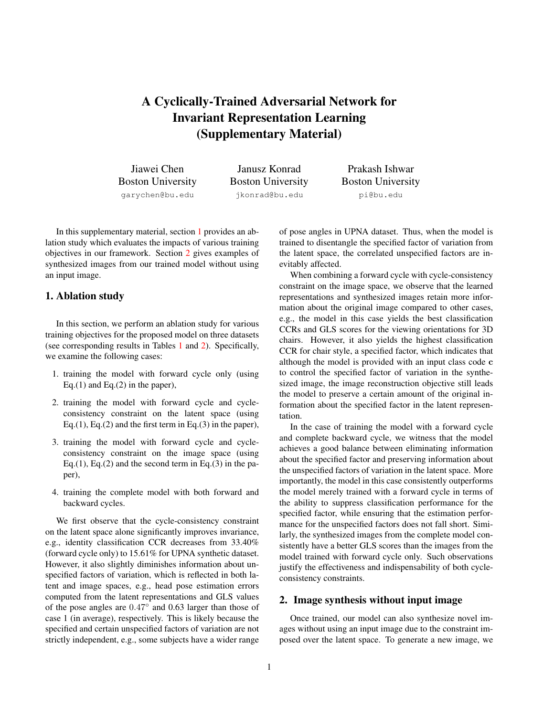## A Cyclically-Trained Adversarial Network for Invariant Representation Learning (Supplementary Material)

Jiawei Chen Boston University garychen@bu.edu

Janusz Konrad Boston University jkonrad@bu.edu

Prakash Ishwar Boston University pi@bu.edu

In this supplementary material, section [1](#page-0-0) provides an ablation study which evaluates the impacts of various training objectives in our framework. Section [2](#page-0-1) gives examples of synthesized images from our trained model without using an input image.

## <span id="page-0-0"></span>1. Ablation study

In this section, we perform an ablation study for various training objectives for the proposed model on three datasets (see corresponding results in Tables [1](#page-1-0) and [2\)](#page-1-1). Specifically, we examine the following cases:

- 1. training the model with forward cycle only (using Eq.(1) and Eq.(2) in the paper),
- 2. training the model with forward cycle and cycleconsistency constraint on the latent space (using Eq.(1), Eq.(2) and the first term in Eq.(3) in the paper),
- 3. training the model with forward cycle and cycleconsistency constraint on the image space (using Eq.(1), Eq.(2) and the second term in Eq.(3) in the paper),
- 4. training the complete model with both forward and backward cycles.

We first observe that the cycle-consistency constraint on the latent space alone significantly improves invariance, e.g., identity classification CCR decreases from 33.40% (forward cycle only) to 15.61% for UPNA synthetic dataset. However, it also slightly diminishes information about unspecified factors of variation, which is reflected in both latent and image spaces, e.g., head pose estimation errors computed from the latent representations and GLS values of the pose angles are 0.47◦ and 0.63 larger than those of case 1 (in average), respectively. This is likely because the specified and certain unspecified factors of variation are not strictly independent, e.g., some subjects have a wider range

of pose angles in UPNA dataset. Thus, when the model is trained to disentangle the specified factor of variation from the latent space, the correlated unspecified factors are inevitably affected.

When combining a forward cycle with cycle-consistency constraint on the image space, we observe that the learned representations and synthesized images retain more information about the original image compared to other cases, e.g., the model in this case yields the best classification CCRs and GLS scores for the viewing orientations for 3D chairs. However, it also yields the highest classification CCR for chair style, a specified factor, which indicates that although the model is provided with an input class code c to control the specified factor of variation in the synthesized image, the image reconstruction objective still leads the model to preserve a certain amount of the original information about the specified factor in the latent representation.

In the case of training the model with a forward cycle and complete backward cycle, we witness that the model achieves a good balance between eliminating information about the specified factor and preserving information about the unspecified factors of variation in the latent space. More importantly, the model in this case consistently outperforms the model merely trained with a forward cycle in terms of the ability to suppress classification performance for the specified factor, while ensuring that the estimation performance for the unspecified factors does not fall short. Similarly, the synthesized images from the complete model consistently have a better GLS scores than the images from the model trained with forward cycle only. Such observations justify the effectiveness and indispensability of both cycleconsistency constraints.

## <span id="page-0-1"></span>2. Image synthesis without input image

Once trained, our model can also synthesize novel images without using an input image due to the constraint imposed over the latent space. To generate a new image, we